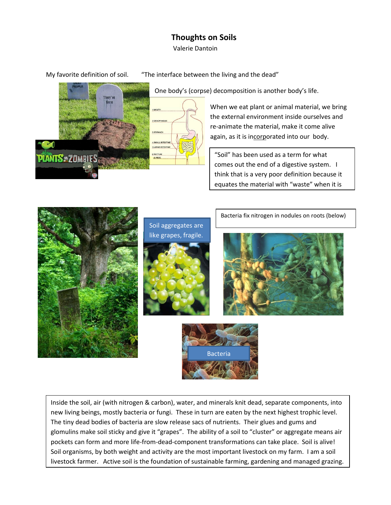## **Thoughts on Soils**

Valerie Dantoin

My favorite definition of soil. "The interface between the living and the dead"





One body's (corpse) decomposition is another body's life.

When we eat plant or animal material, we bring the external environment inside ourselves and re-animate the material, make it come alive again, as it is incorporated into our body.

"Soil" has been used as a term for what comes out the end of a digestive system. I think that is a very poor definition because it equates the material with "waste" when it is





Inside the soil, air (with nitrogen & carbon), water, and minerals knit dead, separate components, into new living beings, mostly bacteria or fungi. These in turn are eaten by the next highest trophic level. The tiny dead bodies of bacteria are slow release sacs of nutrients. Their glues and gums and glomulins make soil sticky and give it "grapes". The ability of a soil to "cluster" or aggregate means air pockets can form and more life-from-dead-component transformations can take place. Soil is alive! Soil organisms, by both weight and activity are the most important livestock on my farm. I am a soil livestock farmer. Active soil is the foundation of sustainable farming, gardening and managed grazing.